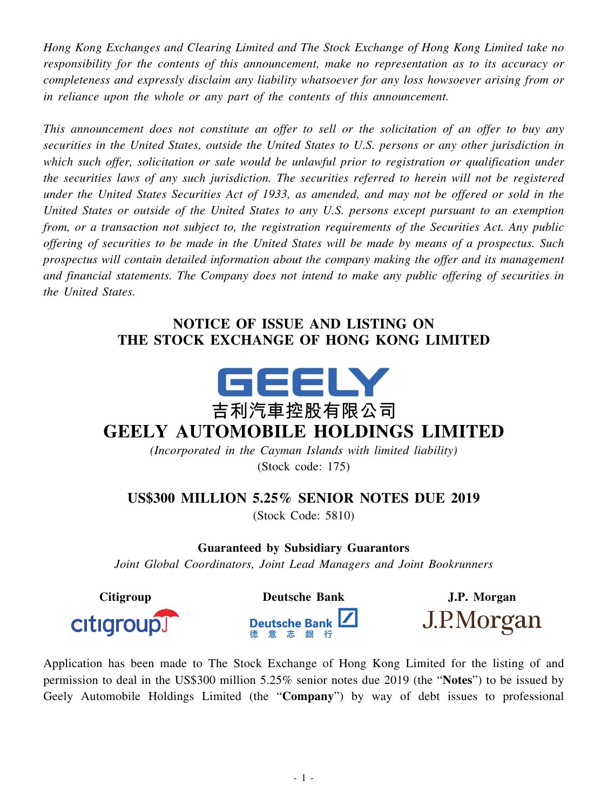*Hong Kong Exchanges and Clearing Limited and The Stock Exchange of Hong Kong Limited take no responsibility for the contents of this announcement, make no representation as to its accuracy or completeness and expressly disclaim any liability whatsoever for any loss howsoever arising from or in reliance upon the whole or any part of the contents of this announcement.*

*This announcement does not constitute an offer to sell or the solicitation of an offer to buy any securities in the United States, outside the United States to U.S. persons or any other jurisdiction in which such offer, solicitation or sale would be unlawful prior to registration or qualification under the securities laws of any such jurisdiction. The securities referred to herein will not be registered* under the United States Securities Act of 1933, as amended, and may not be offered or sold in the *United States or outside of the United States to any U.S. persons except pursuant to an exemption from, or a transaction not subject to, the registration requirements of the Securities Act. Any public* offering of securities to be made in the United States will be made by means of a prospectus. Such *prospectus will contain detailed information about the company making the offer and its management and financial statements. The Company does not intend to make any public offering of securities in the United States.*

## **NOTICE OF ISSUE AND LISTING ON THE STOCK EXCHANGE OF HONG KONG LIMITED**



## **吉利汽車控股有限公司 GEELY AUTOMOBILE HOLDINGS LIMITED**

*(Incorporated in the Cayman Islands with limited liability)* (Stock code: 175)

## **US\$300 MILLION 5.25% SENIOR NOTES DUE 2019**

(Stock Code: 5810)

**Guaranteed by Subsidiary Guarantors**

*Joint Global Coordinators, Joint Lead Managers and Joint Bookrunners*



**Citigroup Deutsche Bank J.P. Morgan**





J.P.Morgan

Application has been made to The Stock Exchange of Hong Kong Limited for the listing of and permission to deal in the US\$300 million 5.25% senior notes due 2019 (the "**Notes**") to be issued by Geely Automobile Holdings Limited (the "**Company**") by way of debt issues to professional